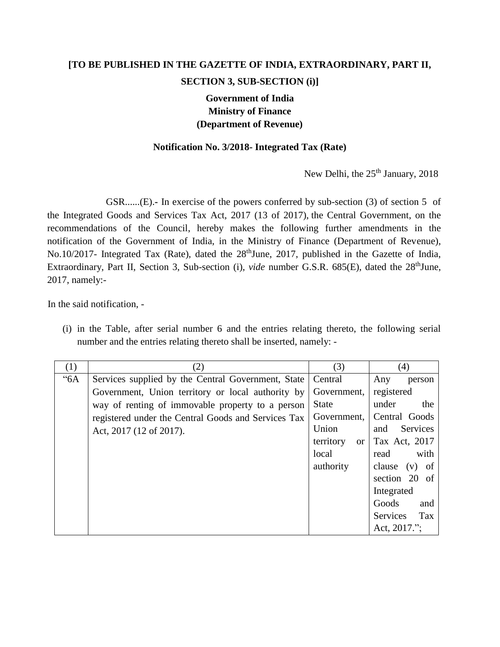## **[TO BE PUBLISHED IN THE GAZETTE OF INDIA, EXTRAORDINARY, PART II, SECTION 3, SUB-SECTION (i)]**

## **Government of India Ministry of Finance (Department of Revenue)**

## **Notification No. 3/2018- Integrated Tax (Rate)**

New Delhi, the 25<sup>th</sup> January, 2018

GSR......(E).**-** In exercise of the powers conferred by sub-section (3) of section 5 of the Integrated Goods and Services Tax Act, 2017 (13 of 2017), the Central Government, on the recommendations of the Council, hereby makes the following further amendments in the notification of the Government of India, in the Ministry of Finance (Department of Revenue), No.10/2017- Integrated Tax (Rate), dated the 28<sup>th</sup>June, 2017, published in the Gazette of India, Extraordinary, Part II, Section 3, Sub-section (i), *vide* number G.S.R. 685(E), dated the 28<sup>th</sup>June, 2017, namely:-

In the said notification, -

(i) in the Table, after serial number 6 and the entries relating thereto, the following serial number and the entries relating thereto shall be inserted, namely: -

| (1)  | (2)                                                 | (3)                        | (4)                    |
|------|-----------------------------------------------------|----------------------------|------------------------|
| "6A" | Services supplied by the Central Government, State  | Central                    | Any<br>person          |
|      | Government, Union territory or local authority by   | Government,                | registered             |
|      | way of renting of immovable property to a person    | <b>State</b>               | under<br>the           |
|      | registered under the Central Goods and Services Tax | Government,                | Central Goods          |
|      | Act, 2017 (12 of 2017).                             | Union                      | Services<br>and        |
|      |                                                     | territory<br><sub>or</sub> | Tax Act, 2017          |
|      |                                                     | local                      | with<br>read           |
|      |                                                     | authority                  | clause $(v)$ of        |
|      |                                                     |                            | section 20 of          |
|      |                                                     |                            | Integrated             |
|      |                                                     |                            | Goods<br>and           |
|      |                                                     |                            | Tax<br><b>Services</b> |
|      |                                                     |                            | Act, 2017.";           |